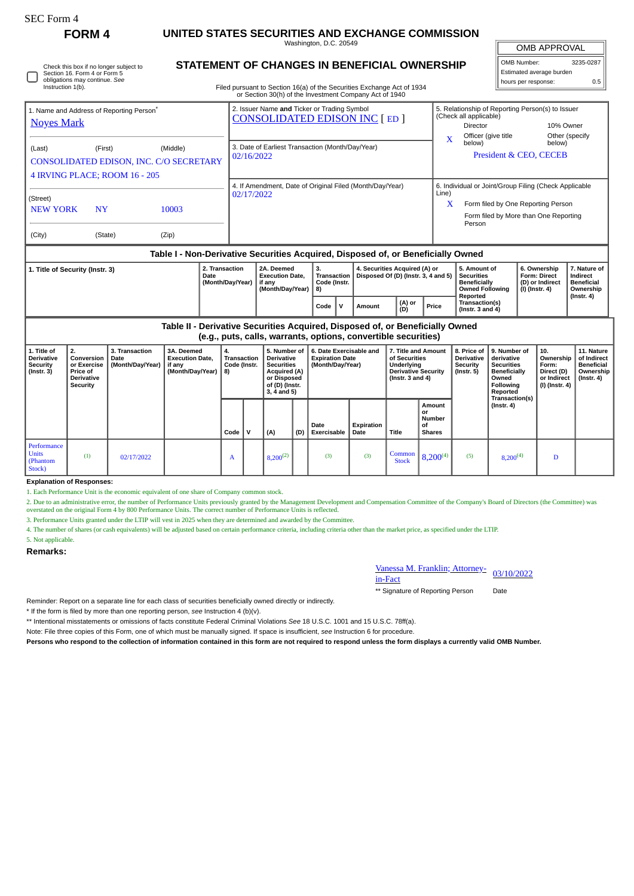| SEC Form 4                                                                                                                   | FORM 4                                                                                                                                                                                  |                                            | UNITED STATES SECURITIES AND EXCHANGE COMMISSION                                 |  |                                                                                    |                                                                    |                                                                                                                               |                                         |                                            |                                                                      |                                                                |                                                                                                                                                              |                                                                |                                                                                                |                                                                                                                                                                                                                   |                                                                                                          |                                                        |                                                                          |                                                                           |
|------------------------------------------------------------------------------------------------------------------------------|-----------------------------------------------------------------------------------------------------------------------------------------------------------------------------------------|--------------------------------------------|----------------------------------------------------------------------------------|--|------------------------------------------------------------------------------------|--------------------------------------------------------------------|-------------------------------------------------------------------------------------------------------------------------------|-----------------------------------------|--------------------------------------------|----------------------------------------------------------------------|----------------------------------------------------------------|--------------------------------------------------------------------------------------------------------------------------------------------------------------|----------------------------------------------------------------|------------------------------------------------------------------------------------------------|-------------------------------------------------------------------------------------------------------------------------------------------------------------------------------------------------------------------|----------------------------------------------------------------------------------------------------------|--------------------------------------------------------|--------------------------------------------------------------------------|---------------------------------------------------------------------------|
|                                                                                                                              |                                                                                                                                                                                         | Washington, D.C. 20549                     |                                                                                  |  |                                                                                    |                                                                    |                                                                                                                               |                                         |                                            |                                                                      |                                                                |                                                                                                                                                              |                                                                | <b>OMB APPROVAL</b>                                                                            |                                                                                                                                                                                                                   |                                                                                                          |                                                        |                                                                          |                                                                           |
| Check this box if no longer subject to<br>Section 16. Form 4 or Form 5<br>obligations may continue. See<br>Instruction 1(b). | <b>STATEMENT OF CHANGES IN BENEFICIAL OWNERSHIP</b><br>Filed pursuant to Section 16(a) of the Securities Exchange Act of 1934<br>or Section 30(h) of the Investment Company Act of 1940 |                                            |                                                                                  |  |                                                                                    |                                                                    |                                                                                                                               |                                         |                                            |                                                                      |                                                                |                                                                                                                                                              | OMB Number:<br>Estimated average burden<br>hours per response: |                                                                                                |                                                                                                                                                                                                                   |                                                                                                          | 3235-0287<br>0.5                                       |                                                                          |                                                                           |
| 1. Name and Address of Reporting Person <sup>®</sup><br><b>Noyes Mark</b>                                                    |                                                                                                                                                                                         |                                            |                                                                                  |  | 2. Issuer Name and Ticker or Trading Symbol<br><b>CONSOLIDATED EDISON INC [ED]</b> |                                                                    |                                                                                                                               |                                         |                                            |                                                                      |                                                                |                                                                                                                                                              |                                                                |                                                                                                | 5. Relationship of Reporting Person(s) to Issuer<br>(Check all applicable)<br><b>Director</b><br>10% Owner<br>Officer (give title<br>Other (specify<br>X<br>below)<br>below)<br><b>President &amp; CEO, CECEB</b> |                                                                                                          |                                                        |                                                                          |                                                                           |
| (Middle)<br>(Last)<br>(First)<br>CONSOLIDATED EDISON, INC. C/O SECRETARY<br>4 IRVING PLACE; ROOM 16 - 205                    |                                                                                                                                                                                         |                                            |                                                                                  |  | 3. Date of Earliest Transaction (Month/Day/Year)<br>02/16/2022                     |                                                                    |                                                                                                                               |                                         |                                            |                                                                      |                                                                |                                                                                                                                                              |                                                                |                                                                                                |                                                                                                                                                                                                                   |                                                                                                          |                                                        |                                                                          |                                                                           |
| (Street)<br><b>NEW YORK</b>                                                                                                  | 10003                                                                                                                                                                                   |                                            | 4. If Amendment, Date of Original Filed (Month/Day/Year)<br>02/17/2022           |  |                                                                                    |                                                                    |                                                                                                                               |                                         |                                            |                                                                      |                                                                | 6. Individual or Joint/Group Filing (Check Applicable<br>Line)<br>Form filed by One Reporting Person<br>X<br>Form filed by More than One Reporting<br>Person |                                                                |                                                                                                |                                                                                                                                                                                                                   |                                                                                                          |                                                        |                                                                          |                                                                           |
| (State)<br>(Zip)<br>(City)                                                                                                   |                                                                                                                                                                                         |                                            |                                                                                  |  |                                                                                    |                                                                    |                                                                                                                               |                                         |                                            |                                                                      |                                                                |                                                                                                                                                              |                                                                |                                                                                                |                                                                                                                                                                                                                   |                                                                                                          |                                                        |                                                                          |                                                                           |
|                                                                                                                              |                                                                                                                                                                                         |                                            | Table I - Non-Derivative Securities Acquired, Disposed of, or Beneficially Owned |  |                                                                                    |                                                                    |                                                                                                                               |                                         |                                            |                                                                      |                                                                |                                                                                                                                                              |                                                                |                                                                                                |                                                                                                                                                                                                                   |                                                                                                          |                                                        |                                                                          |                                                                           |
| 2. Transaction<br>1. Title of Security (Instr. 3)<br>Date<br>(Month/Day/Year)                                                |                                                                                                                                                                                         |                                            |                                                                                  |  |                                                                                    | 2A. Deemed<br><b>Execution Date,</b><br>if any<br>(Month/Day/Year) |                                                                                                                               | 3.<br>Transaction<br>Code (Instr.<br>8) |                                            | 4. Securities Acquired (A) or<br>Disposed Of (D) (Instr. 3, 4 and 5) |                                                                |                                                                                                                                                              |                                                                | 5. Amount of<br><b>Securities</b><br><b>Beneficially</b><br><b>Owned Following</b><br>Reported |                                                                                                                                                                                                                   | $(I)$ (Instr. 4)                                                                                         | 6. Ownership<br><b>Form: Direct</b><br>(D) or Indirect | 7. Nature of<br>Indirect<br><b>Beneficial</b><br>Ownership               |                                                                           |
|                                                                                                                              |                                                                                                                                                                                         |                                            |                                                                                  |  |                                                                                    |                                                                    | Code                                                                                                                          | $\mathsf{v}$                            | Amount                                     |                                                                      | (A) or<br>(D)                                                  | Price                                                                                                                                                        | Transaction(s)<br>(Instr. $3$ and $4$ )                        |                                                                                                |                                                                                                                                                                                                                   |                                                                                                          | (Instr. 4)                                             |                                                                          |                                                                           |
|                                                                                                                              |                                                                                                                                                                                         |                                            | Table II - Derivative Securities Acquired, Disposed of, or Beneficially Owned    |  |                                                                                    |                                                                    |                                                                                                                               |                                         |                                            |                                                                      | (e.g., puts, calls, warrants, options, convertible securities) |                                                                                                                                                              |                                                                |                                                                                                |                                                                                                                                                                                                                   |                                                                                                          |                                                        |                                                                          |                                                                           |
| 1. Title of<br><b>Derivative</b><br>Security<br>$($ Instr. 3 $)$                                                             | 2.<br>Conversion<br>or Exercise<br>Price of<br><b>Derivative</b><br>Security                                                                                                            | 3. Transaction<br>Date<br>(Month/Day/Year) | 3A. Deemed<br><b>Execution Date,</b><br>if any<br>(Month/Day/Year)               |  | 4.<br><b>Transaction</b><br>Code (Instr.<br>8)                                     |                                                                    | 5. Number of<br><b>Derivative</b><br><b>Securities</b><br><b>Acquired (A)</b><br>or Disposed<br>of (D) (Instr.<br>3, 4 and 5) |                                         | <b>Expiration Date</b><br>(Month/Day/Year) |                                                                      | 6. Date Exercisable and                                        | 7. Title and Amount<br>of Securities<br>Underlying<br><b>Derivative Security</b><br>(Instr. $3$ and $4$ )                                                    |                                                                |                                                                                                | 8. Price of<br><b>Derivative</b><br>Security<br>$($ Instr. 5 $)$                                                                                                                                                  | 9. Number of<br>derivative<br><b>Securities</b><br><b>Beneficially</b><br>Owned<br>Following<br>Reported |                                                        | 10.<br>Ownership<br>Form:<br>Direct (D)<br>or Indirect<br>(I) (Instr. 4) | 11. Nature<br>of Indirect<br><b>Beneficial</b><br>Ownership<br>(Instr. 4) |
|                                                                                                                              |                                                                                                                                                                                         |                                            |                                                                                  |  | Code $ V $                                                                         |                                                                    | (A)                                                                                                                           | (D)                                     | Date<br>Exercisable                        |                                                                      | Expiration<br>Date                                             | <b>Title</b>                                                                                                                                                 |                                                                | Amount<br>or<br><b>Number</b><br>οf<br><b>Shares</b>                                           |                                                                                                                                                                                                                   | Transaction(s)<br>$($ lnstr. 4 $)$                                                                       |                                                        |                                                                          |                                                                           |

## **Explanation of Responses:**

1. Each Performance Unit is the economic equivalent of one share of Company common stock.

2. Due to an administrative error, the number of Performance Units previously granted by the Management Development and Compensation Committee of the Company's Board of Directors (the Committee) was overstated on the original Form 4 by 800 Performance Units. The correct number of Performance Units is reflected.

3. Performance Units granted under the LTIP will vest in 2025 when they are determined and awarded by the Committee.

4. The number of shares (or cash equivalents) will be adjusted based on certain performance criteria, including criteria other than the market price, as specified under the LTIP.

5. Not applicable.

 $Code \mid V \mid (A)$ 

(1)  $02/17/2022$  A  $8,200^{(2)}$  (3) (3) Common characters

## **Remarks:**

Performance Units (Phantom Stock)

Vanessa M. Franklin; <u>Attorney- 03/10/2022</u><br>in-Fact

 $\begin{array}{|c|c|c|c|c|c|}\n\hline \text{Common} & 8,200^{(4)} & (5) & 8,200^{(4)} & D\n\end{array}$ 

\*\* Signature of Reporting Person Date

Reminder: Report on a separate line for each class of securities beneficially owned directly or indirectly.

\* If the form is filed by more than one reporting person, *see* Instruction 4 (b)(v).

\*\* Intentional misstatements or omissions of facts constitute Federal Criminal Violations *See* 18 U.S.C. 1001 and 15 U.S.C. 78ff(a).

Note: File three copies of this Form, one of which must be manually signed. If space is insufficient, *see* Instruction 6 for procedure.

**Persons who respond to the collection of information contained in this form are not required to respond unless the form displays a currently valid OMB Number.**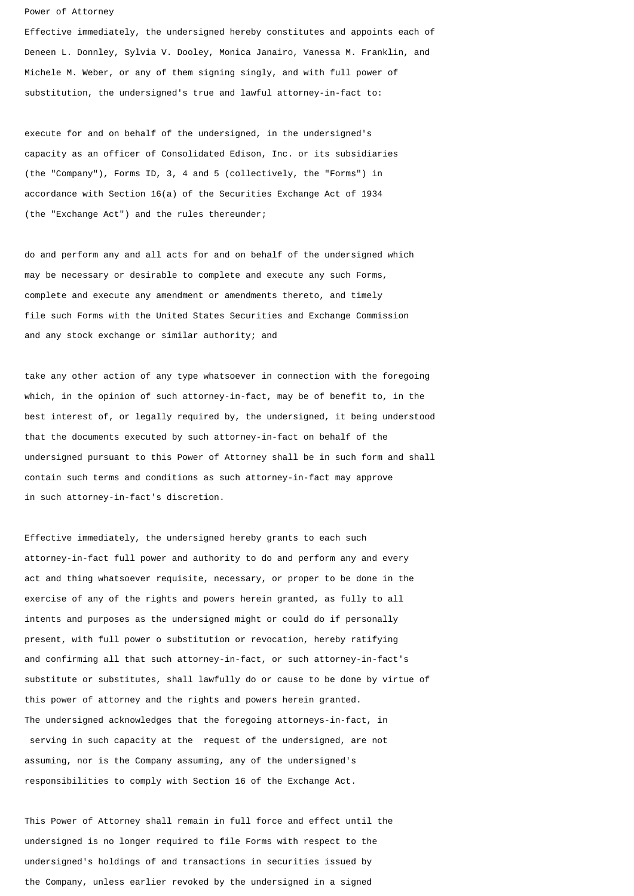## Power of Attorney

Effective immediately, the undersigned hereby constitutes and appoints each of Deneen L. Donnley, Sylvia V. Dooley, Monica Janairo, Vanessa M. Franklin, and Michele M. Weber, or any of them signing singly, and with full power of substitution, the undersigned's true and lawful attorney-in-fact to:

execute for and on behalf of the undersigned, in the undersigned's capacity as an officer of Consolidated Edison, Inc. or its subsidiaries (the "Company"), Forms ID, 3, 4 and 5 (collectively, the "Forms") in accordance with Section 16(a) of the Securities Exchange Act of 1934 (the "Exchange Act") and the rules thereunder;

do and perform any and all acts for and on behalf of the undersigned which may be necessary or desirable to complete and execute any such Forms, complete and execute any amendment or amendments thereto, and timely file such Forms with the United States Securities and Exchange Commission and any stock exchange or similar authority; and

take any other action of any type whatsoever in connection with the foregoing which, in the opinion of such attorney-in-fact, may be of benefit to, in the best interest of, or legally required by, the undersigned, it being understood that the documents executed by such attorney-in-fact on behalf of the undersigned pursuant to this Power of Attorney shall be in such form and shall contain such terms and conditions as such attorney-in-fact may approve in such attorney-in-fact's discretion.

Effective immediately, the undersigned hereby grants to each such attorney-in-fact full power and authority to do and perform any and every act and thing whatsoever requisite, necessary, or proper to be done in the exercise of any of the rights and powers herein granted, as fully to all intents and purposes as the undersigned might or could do if personally present, with full power o substitution or revocation, hereby ratifying and confirming all that such attorney-in-fact, or such attorney-in-fact's substitute or substitutes, shall lawfully do or cause to be done by virtue of this power of attorney and the rights and powers herein granted. The undersigned acknowledges that the foregoing attorneys-in-fact, in serving in such capacity at the request of the undersigned, are not assuming, nor is the Company assuming, any of the undersigned's responsibilities to comply with Section 16 of the Exchange Act.

This Power of Attorney shall remain in full force and effect until the undersigned is no longer required to file Forms with respect to the undersigned's holdings of and transactions in securities issued by the Company, unless earlier revoked by the undersigned in a signed